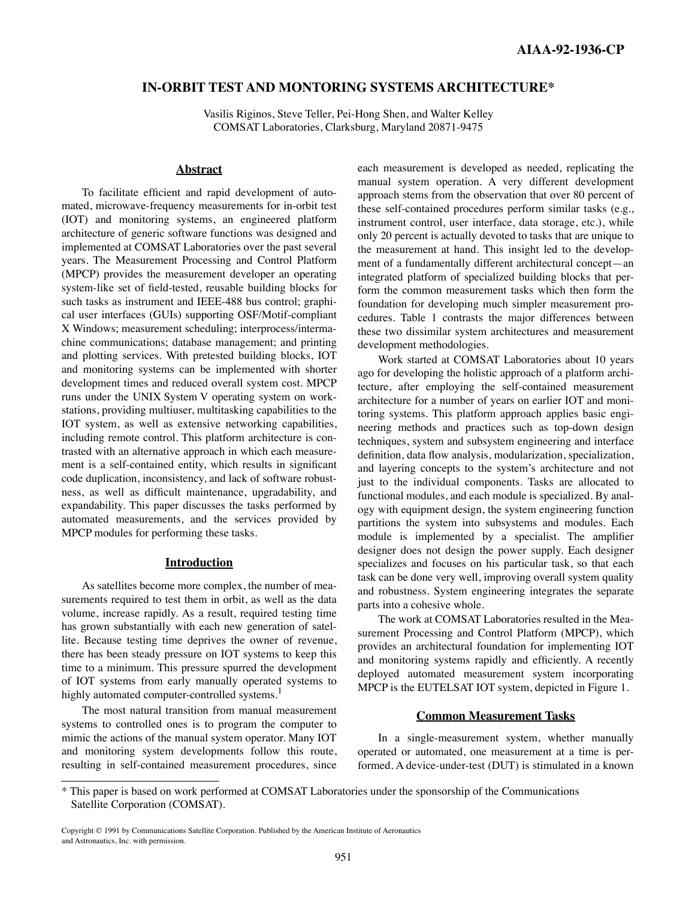# **IN-ORBIT TEST AND MONTORING SYSTEMS ARCHITECTURE\***

Vasilis Riginos, Steve Teller, Pei-Hong Shen, and Walter Kelley COMSAT Laboratories, Clarksburg, Maryland 20871-9475

### **Abstract**

To facilitate efficient and rapid development of automated, microwave-frequency measurements for in-orbit test (IOT) and monitoring systems, an engineered platform architecture of generic software functions was designed and implemented at COMSAT Laboratories over the past several years. The Measurement Processing and Control Platform (MPCP) provides the measurement developer an operating system-like set of field-tested, reusable building blocks for such tasks as instrument and IEEE-488 bus control; graphical user interfaces (GUIs) supporting OSF/Motif-compliant X Windows; measurement scheduling; interprocess/intermachine communications; database management; and printing and plotting services. With pretested building blocks, IOT and monitoring systems can be implemented with shorter development times and reduced overall system cost. MPCP runs under the UNIX System V operating system on workstations, providing multiuser, multitasking capabilities to the IOT system, as well as extensive networking capabilities, including remote control. This platform architecture is contrasted with an alternative approach in which each measurement is a self-contained entity, which results in significant code duplication, inconsistency, and lack of software robustness, as well as difficult maintenance, upgradability, and expandability. This paper discusses the tasks performed by automated measurements, and the services provided by MPCP modules for performing these tasks.

## **Introduction**

As satellites become more complex, the number of measurements required to test them in orbit, as well as the data volume, increase rapidly. As a result, required testing time has grown substantially with each new generation of satellite. Because testing time deprives the owner of revenue, there has been steady pressure on IOT systems to keep this time to a minimum. This pressure spurred the development of IOT systems from early manually operated systems to highly automated computer-controlled systems.<sup>1</sup>

The most natural transition from manual measurement systems to controlled ones is to program the computer to mimic the actions of the manual system operator. Many IOT and monitoring system developments follow this route, resulting in self-contained measurement procedures, since each measurement is developed as needed, replicating the manual system operation. A very different development approach stems from the observation that over 80 percent of these self-contained procedures perform similar tasks (e.g., instrument control, user interface, data storage, etc.), while only 20 percent is actually devoted to tasks that are unique to the measurement at hand. This insight led to the development of a fundamentally different architectural concept—an integrated platform of specialized building blocks that perform the common measurement tasks which then form the foundation for developing much simpler measurement procedures. Table 1 contrasts the major differences between these two dissimilar system architectures and measurement development methodologies.

Work started at COMSAT Laboratories about 10 years ago for developing the holistic approach of a platform architecture, after employing the self-contained measurement architecture for a number of years on earlier IOT and monitoring systems. This platform approach applies basic engineering methods and practices such as top-down design techniques, system and subsystem engineering and interface definition, data flow analysis, modularization, specialization, and layering concepts to the system's architecture and not just to the individual components. Tasks are allocated to functional modules, and each module is specialized. By analogy with equipment design, the system engineering function partitions the system into subsystems and modules. Each module is implemented by a specialist. The amplifier designer does not design the power supply. Each designer specializes and focuses on his particular task, so that each task can be done very well, improving overall system quality and robustness. System engineering integrates the separate parts into a cohesive whole.

The work at COMSAT Laboratories resulted in the Measurement Processing and Control Platform (MPCP), which provides an architectural foundation for implementing IOT and monitoring systems rapidly and efficiently. A recently deployed automated measurement system incorporating MPCP is the EUTELSAT IOT system, depicted in Figure 1.

#### **Common Measurement Tasks**

In a single-measurement system, whether manually operated or automated, one measurement at a time is performed. A device-under-test (DUT) is stimulated in a known

<sup>\*</sup> This paper is based on work performed at COMSAT Laboratories under the sponsorship of the Communications Satellite Corporation (COMSAT).

Copyright 1991 by Communications Satellite Corporation. Published by the American Institute of Aeronautics and Astronautics, Inc. with permission.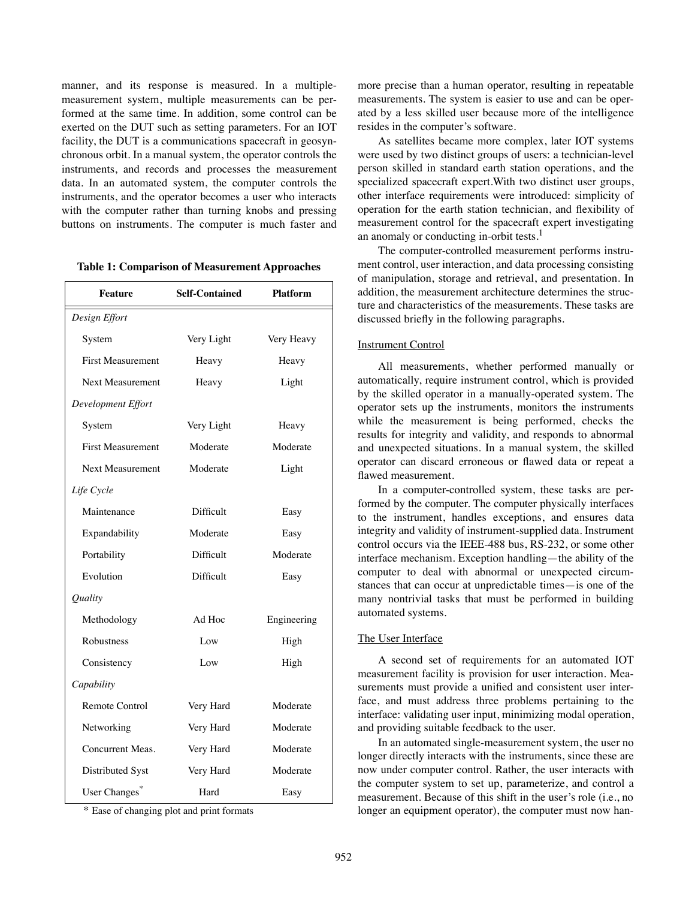manner, and its response is measured. In a multiplemeasurement system, multiple measurements can be performed at the same time. In addition, some control can be exerted on the DUT such as setting parameters. For an IOT facility, the DUT is a communications spacecraft in geosynchronous orbit. In a manual system, the operator controls the instruments, and records and processes the measurement data. In an automated system, the computer controls the instruments, and the operator becomes a user who interacts with the computer rather than turning knobs and pressing buttons on instruments. The computer is much faster and

| <b>Table 1: Comparison of Measurement Approaches</b> |  |  |
|------------------------------------------------------|--|--|
|------------------------------------------------------|--|--|

| <b>Feature</b>           | <b>Self-Contained</b> | <b>Platform</b> |
|--------------------------|-----------------------|-----------------|
| Design Effort            |                       |                 |
| System                   | Very Light            | Very Heavy      |
| <b>First Measurement</b> | Heavy                 | Heavy           |
| Next Measurement         | Heavy                 | Light           |
| Development Effort       |                       |                 |
| System                   | Very Light            | Heavy           |
| <b>First Measurement</b> | Moderate              | Moderate        |
| <b>Next Measurement</b>  | Moderate              | Light           |
| Life Cycle               |                       |                 |
| Maintenance              | Difficult             | Easy            |
| Expandability            | Moderate              | Easy            |
| Portability              | Difficult             | Moderate        |
| Evolution                | Difficult             | Easy            |
| Quality                  |                       |                 |
| Methodology              | Ad Hoc                | Engineering     |
| Robustness               | Low                   | High            |
| Consistency              | Low                   | High            |
| Capability               |                       |                 |
| Remote Control           | Very Hard             | Moderate        |
| Networking               | Very Hard             | Moderate        |
| Concurrent Meas.         | Very Hard             | Moderate        |
| Distributed Syst         | Very Hard             | Moderate        |
| User Changes*            | Hard                  | Easy            |

\* Ease of changing plot and print formats

more precise than a human operator, resulting in repeatable measurements. The system is easier to use and can be operated by a less skilled user because more of the intelligence resides in the computer's software.

As satellites became more complex, later IOT systems were used by two distinct groups of users: a technician-level person skilled in standard earth station operations, and the specialized spacecraft expert.With two distinct user groups, other interface requirements were introduced: simplicity of operation for the earth station technician, and flexibility of measurement control for the spacecraft expert investigating an anomaly or conducting in-orbit tests.<sup>1</sup>

The computer-controlled measurement performs instrument control, user interaction, and data processing consisting of manipulation, storage and retrieval, and presentation. In addition, the measurement architecture determines the structure and characteristics of the measurements. These tasks are discussed briefly in the following paragraphs.

## Instrument Control

All measurements, whether performed manually or automatically, require instrument control, which is provided by the skilled operator in a manually-operated system. The operator sets up the instruments, monitors the instruments while the measurement is being performed, checks the results for integrity and validity, and responds to abnormal and unexpected situations. In a manual system, the skilled operator can discard erroneous or flawed data or repeat a flawed measurement.

In a computer-controlled system, these tasks are performed by the computer. The computer physically interfaces to the instrument, handles exceptions, and ensures data integrity and validity of instrument-supplied data. Instrument control occurs via the IEEE-488 bus, RS-232, or some other interface mechanism. Exception handling—the ability of the computer to deal with abnormal or unexpected circumstances that can occur at unpredictable times—is one of the many nontrivial tasks that must be performed in building automated systems.

### The User Interface

A second set of requirements for an automated IOT measurement facility is provision for user interaction. Measurements must provide a unified and consistent user interface, and must address three problems pertaining to the interface: validating user input, minimizing modal operation, and providing suitable feedback to the user.

In an automated single-measurement system, the user no longer directly interacts with the instruments, since these are now under computer control. Rather, the user interacts with the computer system to set up, parameterize, and control a measurement. Because of this shift in the user's role (i.e., no longer an equipment operator), the computer must now han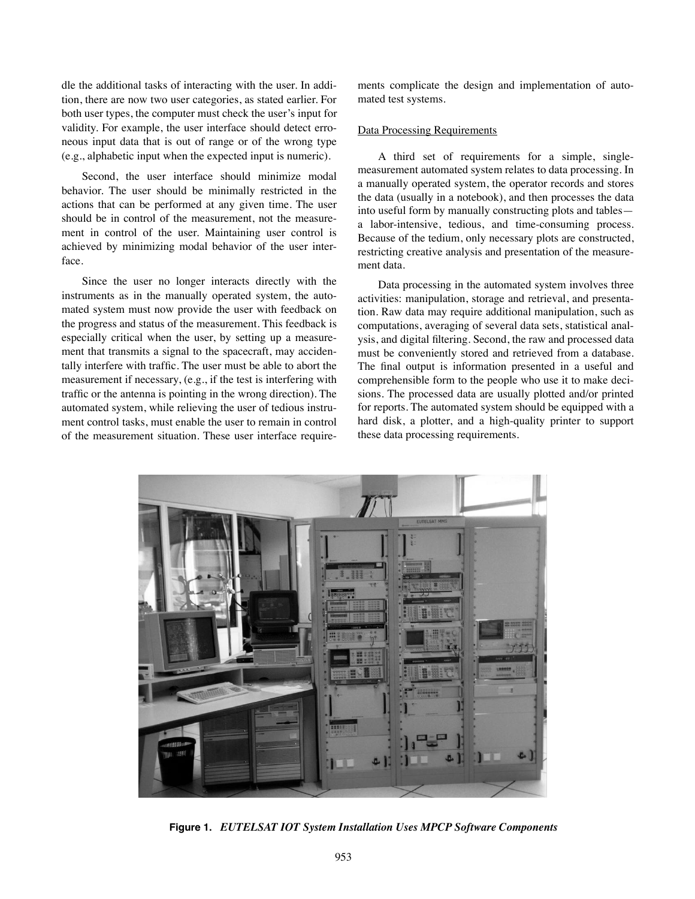dle the additional tasks of interacting with the user. In addition, there are now two user categories, as stated earlier. For both user types, the computer must check the user's input for validity. For example, the user interface should detect erroneous input data that is out of range or of the wrong type (e.g., alphabetic input when the expected input is numeric).

Second, the user interface should minimize modal behavior. The user should be minimally restricted in the actions that can be performed at any given time. The user should be in control of the measurement, not the measurement in control of the user. Maintaining user control is achieved by minimizing modal behavior of the user interface.

Since the user no longer interacts directly with the instruments as in the manually operated system, the automated system must now provide the user with feedback on the progress and status of the measurement. This feedback is especially critical when the user, by setting up a measurement that transmits a signal to the spacecraft, may accidentally interfere with traffic. The user must be able to abort the measurement if necessary, (e.g., if the test is interfering with traffic or the antenna is pointing in the wrong direction). The automated system, while relieving the user of tedious instrument control tasks, must enable the user to remain in control of the measurement situation. These user interface requirements complicate the design and implementation of automated test systems.

# Data Processing Requirements

A third set of requirements for a simple, singlemeasurement automated system relates to data processing. In a manually operated system, the operator records and stores the data (usually in a notebook), and then processes the data into useful form by manually constructing plots and tables a labor-intensive, tedious, and time-consuming process. Because of the tedium, only necessary plots are constructed, restricting creative analysis and presentation of the measurement data.

Data processing in the automated system involves three activities: manipulation, storage and retrieval, and presentation. Raw data may require additional manipulation, such as computations, averaging of several data sets, statistical analysis, and digital filtering. Second, the raw and processed data must be conveniently stored and retrieved from a database. The final output is information presented in a useful and comprehensible form to the people who use it to make decisions. The processed data are usually plotted and/or printed for reports. The automated system should be equipped with a hard disk, a plotter, and a high-quality printer to support these data processing requirements.



**Figure 1.** *EUTELSAT IOT System Installation Uses MPCP Software Components*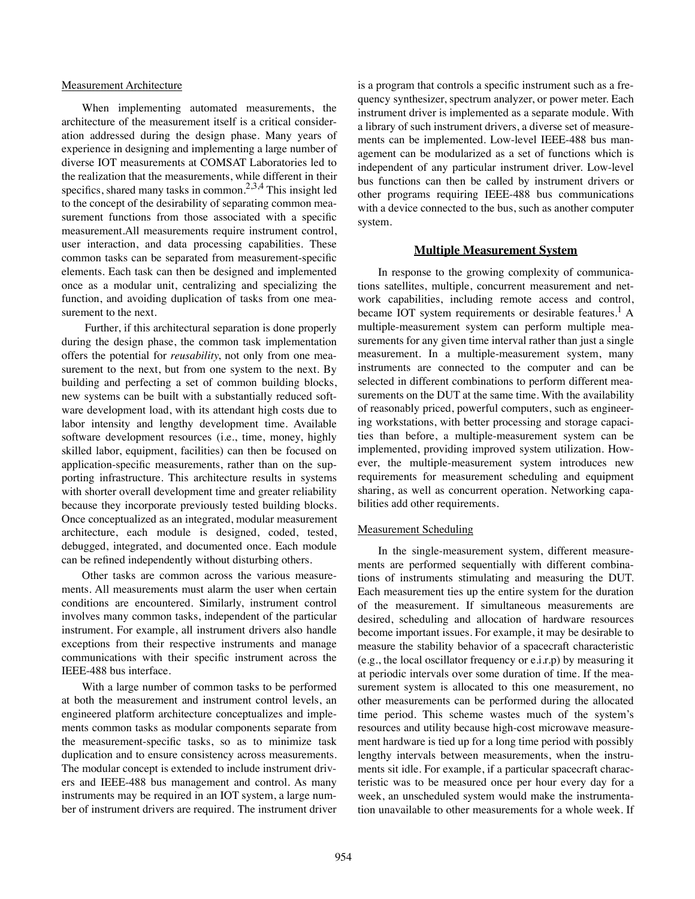### Measurement Architecture

When implementing automated measurements, the architecture of the measurement itself is a critical consideration addressed during the design phase. Many years of experience in designing and implementing a large number of diverse IOT measurements at COMSAT Laboratories led to the realization that the measurements, while different in their specifics, shared many tasks in common.<sup>2,3,4</sup> This insight led to the concept of the desirability of separating common measurement functions from those associated with a specific measurement.All measurements require instrument control, user interaction, and data processing capabilities. These common tasks can be separated from measurement-specific elements. Each task can then be designed and implemented once as a modular unit, centralizing and specializing the function, and avoiding duplication of tasks from one measurement to the next.

 Further, if this architectural separation is done properly during the design phase, the common task implementation offers the potential for *reusability*, not only from one measurement to the next, but from one system to the next. By building and perfecting a set of common building blocks, new systems can be built with a substantially reduced software development load, with its attendant high costs due to labor intensity and lengthy development time. Available software development resources (i.e., time, money, highly skilled labor, equipment, facilities) can then be focused on application-specific measurements, rather than on the supporting infrastructure. This architecture results in systems with shorter overall development time and greater reliability because they incorporate previously tested building blocks. Once conceptualized as an integrated, modular measurement architecture, each module is designed, coded, tested, debugged, integrated, and documented once. Each module can be refined independently without disturbing others.

Other tasks are common across the various measurements. All measurements must alarm the user when certain conditions are encountered. Similarly, instrument control involves many common tasks, independent of the particular instrument. For example, all instrument drivers also handle exceptions from their respective instruments and manage communications with their specific instrument across the IEEE-488 bus interface.

With a large number of common tasks to be performed at both the measurement and instrument control levels, an engineered platform architecture conceptualizes and implements common tasks as modular components separate from the measurement-specific tasks, so as to minimize task duplication and to ensure consistency across measurements. The modular concept is extended to include instrument drivers and IEEE-488 bus management and control. As many instruments may be required in an IOT system, a large number of instrument drivers are required. The instrument driver is a program that controls a specific instrument such as a frequency synthesizer, spectrum analyzer, or power meter. Each instrument driver is implemented as a separate module. With a library of such instrument drivers, a diverse set of measurements can be implemented. Low-level IEEE-488 bus management can be modularized as a set of functions which is independent of any particular instrument driver. Low-level bus functions can then be called by instrument drivers or other programs requiring IEEE-488 bus communications with a device connected to the bus, such as another computer system.

## **Multiple Measurement System**

In response to the growing complexity of communications satellites, multiple, concurrent measurement and network capabilities, including remote access and control, became IOT system requirements or desirable features.<sup>1</sup> A multiple-measurement system can perform multiple measurements for any given time interval rather than just a single measurement. In a multiple-measurement system, many instruments are connected to the computer and can be selected in different combinations to perform different measurements on the DUT at the same time. With the availability of reasonably priced, powerful computers, such as engineering workstations, with better processing and storage capacities than before, a multiple-measurement system can be implemented, providing improved system utilization. However, the multiple-measurement system introduces new requirements for measurement scheduling and equipment sharing, as well as concurrent operation. Networking capabilities add other requirements.

#### Measurement Scheduling

In the single-measurement system, different measurements are performed sequentially with different combinations of instruments stimulating and measuring the DUT. Each measurement ties up the entire system for the duration of the measurement. If simultaneous measurements are desired, scheduling and allocation of hardware resources become important issues. For example, it may be desirable to measure the stability behavior of a spacecraft characteristic (e.g., the local oscillator frequency or e.i.r.p) by measuring it at periodic intervals over some duration of time. If the measurement system is allocated to this one measurement, no other measurements can be performed during the allocated time period. This scheme wastes much of the system's resources and utility because high-cost microwave measurement hardware is tied up for a long time period with possibly lengthy intervals between measurements, when the instruments sit idle. For example, if a particular spacecraft characteristic was to be measured once per hour every day for a week, an unscheduled system would make the instrumentation unavailable to other measurements for a whole week. If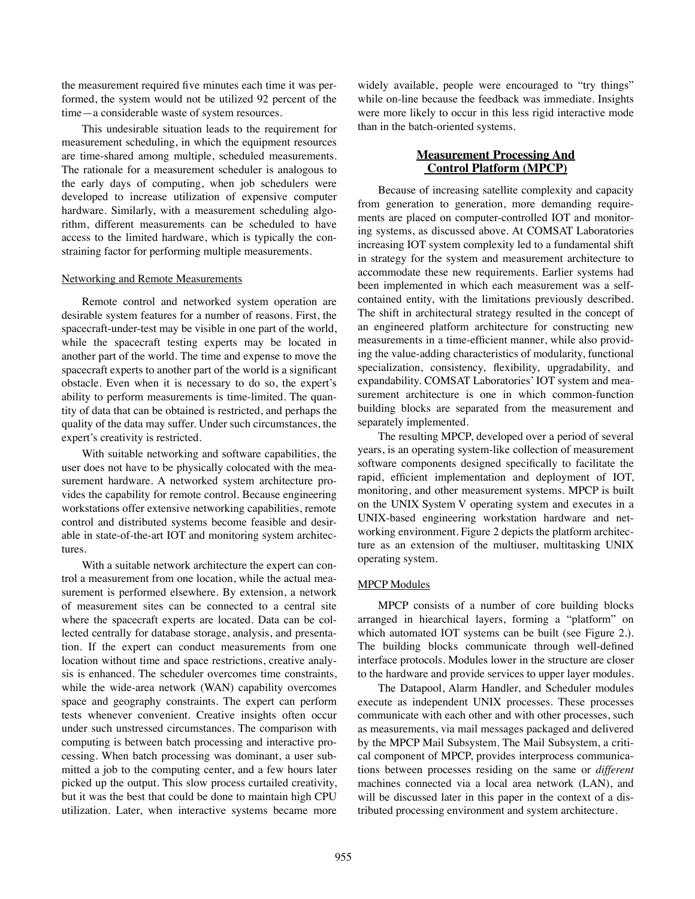the measurement required five minutes each time it was performed, the system would not be utilized 92 percent of the time—a considerable waste of system resources.

This undesirable situation leads to the requirement for measurement scheduling, in which the equipment resources are time-shared among multiple, scheduled measurements. The rationale for a measurement scheduler is analogous to the early days of computing, when job schedulers were developed to increase utilization of expensive computer hardware. Similarly, with a measurement scheduling algorithm, different measurements can be scheduled to have access to the limited hardware, which is typically the constraining factor for performing multiple measurements.

#### Networking and Remote Measurements

Remote control and networked system operation are desirable system features for a number of reasons. First, the spacecraft-under-test may be visible in one part of the world, while the spacecraft testing experts may be located in another part of the world. The time and expense to move the spacecraft experts to another part of the world is a significant obstacle. Even when it is necessary to do so, the expert's ability to perform measurements is time-limited. The quantity of data that can be obtained is restricted, and perhaps the quality of the data may suffer. Under such circumstances, the expert's creativity is restricted.

With suitable networking and software capabilities, the user does not have to be physically colocated with the measurement hardware. A networked system architecture provides the capability for remote control. Because engineering workstations offer extensive networking capabilities, remote control and distributed systems become feasible and desirable in state-of-the-art IOT and monitoring system architectures.

With a suitable network architecture the expert can control a measurement from one location, while the actual measurement is performed elsewhere. By extension, a network of measurement sites can be connected to a central site where the spacecraft experts are located. Data can be collected centrally for database storage, analysis, and presentation. If the expert can conduct measurements from one location without time and space restrictions, creative analysis is enhanced. The scheduler overcomes time constraints, while the wide-area network (WAN) capability overcomes space and geography constraints. The expert can perform tests whenever convenient. Creative insights often occur under such unstressed circumstances. The comparison with computing is between batch processing and interactive processing. When batch processing was dominant, a user submitted a job to the computing center, and a few hours later picked up the output. This slow process curtailed creativity, but it was the best that could be done to maintain high CPU utilization. Later, when interactive systems became more widely available, people were encouraged to "try things" while on-line because the feedback was immediate. Insights were more likely to occur in this less rigid interactive mode than in the batch-oriented systems.

# **Measurement Processing And Control Platform (MPCP)**

Because of increasing satellite complexity and capacity from generation to generation, more demanding requirements are placed on computer-controlled IOT and monitoring systems, as discussed above. At COMSAT Laboratories increasing IOT system complexity led to a fundamental shift in strategy for the system and measurement architecture to accommodate these new requirements. Earlier systems had been implemented in which each measurement was a selfcontained entity, with the limitations previously described. The shift in architectural strategy resulted in the concept of an engineered platform architecture for constructing new measurements in a time-efficient manner, while also providing the value-adding characteristics of modularity, functional specialization, consistency, flexibility, upgradability, and expandability. COMSAT Laboratories' IOT system and measurement architecture is one in which common-function building blocks are separated from the measurement and separately implemented.

The resulting MPCP, developed over a period of several years, is an operating system-like collection of measurement software components designed specifically to facilitate the rapid, efficient implementation and deployment of IOT, monitoring, and other measurement systems. MPCP is built on the UNIX System V operating system and executes in a UNIX-based engineering workstation hardware and networking environment. Figure 2 depicts the platform architecture as an extension of the multiuser, multitasking UNIX operating system.

## MPCP Modules

MPCP consists of a number of core building blocks arranged in hiearchical layers, forming a "platform" on which automated IOT systems can be built (see Figure 2.). The building blocks communicate through well-defined interface protocols. Modules lower in the structure are closer to the hardware and provide services to upper layer modules.

The Datapool, Alarm Handler, and Scheduler modules execute as independent UNIX processes. These processes communicate with each other and with other processes, such as measurements, via mail messages packaged and delivered by the MPCP Mail Subsystem. The Mail Subsystem, a critical component of MPCP, provides interprocess communications between processes residing on the same or *different* machines connected via a local area network (LAN), and will be discussed later in this paper in the context of a distributed processing environment and system architecture.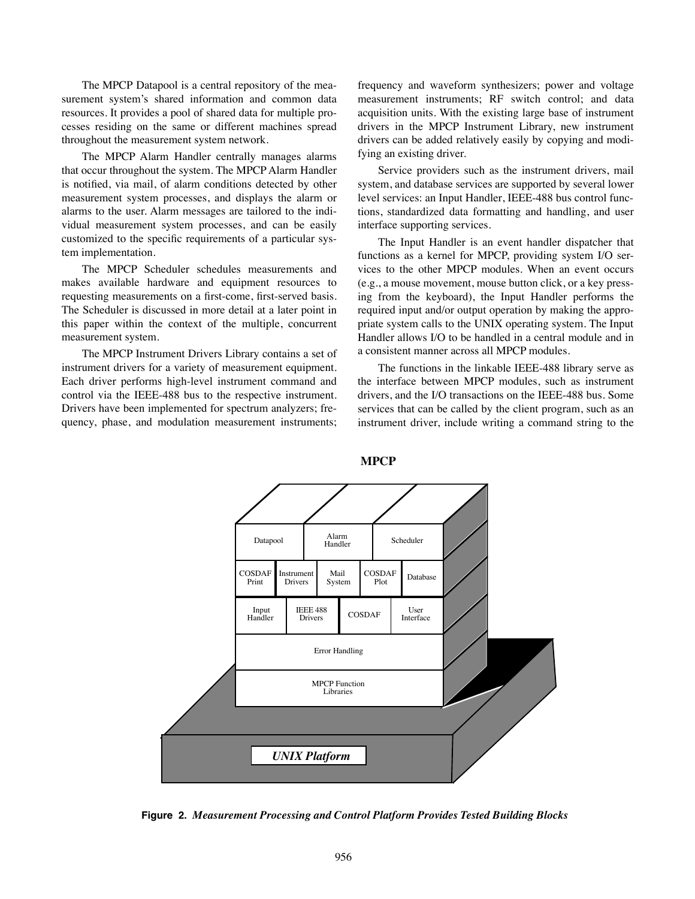The MPCP Datapool is a central repository of the measurement system's shared information and common data resources. It provides a pool of shared data for multiple processes residing on the same or different machines spread throughout the measurement system network.

The MPCP Alarm Handler centrally manages alarms that occur throughout the system. The MPCP Alarm Handler is notified, via mail, of alarm conditions detected by other measurement system processes, and displays the alarm or alarms to the user. Alarm messages are tailored to the individual measurement system processes, and can be easily customized to the specific requirements of a particular system implementation.

The MPCP Scheduler schedules measurements and makes available hardware and equipment resources to requesting measurements on a first-come, first-served basis. The Scheduler is discussed in more detail at a later point in this paper within the context of the multiple, concurrent measurement system.

The MPCP Instrument Drivers Library contains a set of instrument drivers for a variety of measurement equipment. Each driver performs high-level instrument command and control via the IEEE-488 bus to the respective instrument. Drivers have been implemented for spectrum analyzers; frequency, phase, and modulation measurement instruments; frequency and waveform synthesizers; power and voltage measurement instruments; RF switch control; and data acquisition units. With the existing large base of instrument drivers in the MPCP Instrument Library, new instrument drivers can be added relatively easily by copying and modifying an existing driver.

Service providers such as the instrument drivers, mail system, and database services are supported by several lower level services: an Input Handler, IEEE-488 bus control functions, standardized data formatting and handling, and user interface supporting services.

The Input Handler is an event handler dispatcher that functions as a kernel for MPCP, providing system I/O services to the other MPCP modules. When an event occurs (e.g., a mouse movement, mouse button click, or a key pressing from the keyboard), the Input Handler performs the required input and/or output operation by making the appropriate system calls to the UNIX operating system. The Input Handler allows I/O to be handled in a central module and in a consistent manner across all MPCP modules.

The functions in the linkable IEEE-488 library serve as the interface between MPCP modules, such as instrument drivers, and the I/O transactions on the IEEE-488 bus. Some services that can be called by the client program, such as an instrument driver, include writing a command string to the



**MPCP** 

**Figure 2.** *Measurement Processing and Control Platform Provides Tested Building Blocks*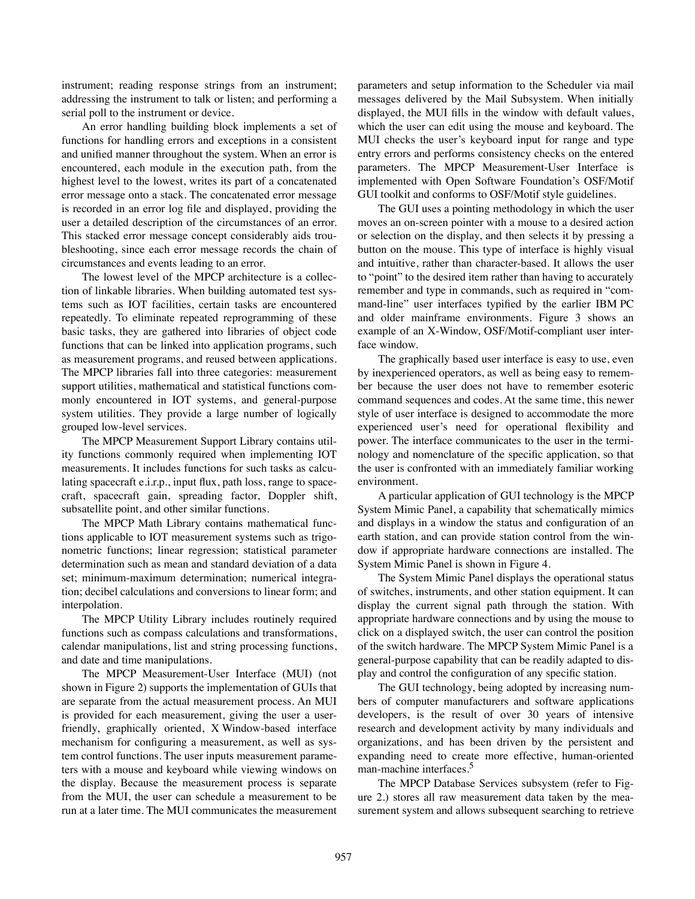instrument; reading response strings from an instrument; addressing the instrument to talk or listen; and performing a serial poll to the instrument or device.

An error handling building block implements a set of functions for handling errors and exceptions in a consistent and unified manner throughout the system. When an error is encountered, each module in the execution path, from the highest level to the lowest, writes its part of a concatenated error message onto a stack. The concatenated error message is recorded in an error log file and displayed, providing the user a detailed description of the circumstances of an error. This stacked error message concept considerably aids troubleshooting, since each error message records the chain of circumstances and events leading to an error.

The lowest level of the MPCP architecture is a collection of linkable libraries. When building automated test systems such as IOT facilities, certain tasks are encountered repeatedly. To eliminate repeated reprogramming of these basic tasks, they are gathered into libraries of object code functions that can be linked into application programs, such as measurement programs, and reused between applications. The MPCP libraries fall into three categories: measurement support utilities, mathematical and statistical functions commonly encountered in IOT systems, and general-purpose system utilities. They provide a large number of logically grouped low-level services.

The MPCP Measurement Support Library contains utility functions commonly required when implementing IOT measurements. It includes functions for such tasks as calculating spacecraft e.i.r.p., input flux, path loss, range to spacecraft, spacecraft gain, spreading factor, Doppler shift, subsatellite point, and other similar functions.

The MPCP Math Library contains mathematical functions applicable to IOT measurement systems such as trigonometric functions; linear regression; statistical parameter determination such as mean and standard deviation of a data set; minimum-maximum determination; numerical integration; decibel calculations and conversions to linear form; and interpolation.

The MPCP Utility Library includes routinely required functions such as compass calculations and transformations, calendar manipulations, list and string processing functions, and date and time manipulations.

The MPCP Measurement-User Interface (MUI) (not shown in Figure 2) supports the implementation of GUIs that are separate from the actual measurement process. An MUI is provided for each measurement, giving the user a userfriendly, graphically oriented, X Window-based interface mechanism for configuring a measurement, as well as system control functions. The user inputs measurement parameters with a mouse and keyboard while viewing windows on the display. Because the measurement process is separate from the MUI, the user can schedule a measurement to be run at a later time. The MUI communicates the measurement parameters and setup information to the Scheduler via mail messages delivered by the Mail Subsystem. When initially displayed, the MUI fills in the window with default values, which the user can edit using the mouse and keyboard. The MUI checks the user's keyboard input for range and type entry errors and performs consistency checks on the entered parameters. The MPCP Measurement-User Interface is implemented with Open Software Foundation's OSF/Motif GUI toolkit and conforms to OSF/Motif style guidelines.

The GUI uses a pointing methodology in which the user moves an on-screen pointer with a mouse to a desired action or selection on the display, and then selects it by pressing a button on the mouse. This type of interface is highly visual and intuitive, rather than character-based. It allows the user to "point" to the desired item rather than having to accurately remember and type in commands, such as required in "command-line" user interfaces typified by the earlier IBM PC and older mainframe environments. Figure 3 shows an example of an X-Window, OSF/Motif-compliant user interface window.

The graphically based user interface is easy to use, even by inexperienced operators, as well as being easy to remember because the user does not have to remember esoteric command sequences and codes. At the same time, this newer style of user interface is designed to accommodate the more experienced user's need for operational flexibility and power. The interface communicates to the user in the terminology and nomenclature of the specific application, so that the user is confronted with an immediately familiar working environment.

A particular application of GUI technology is the MPCP System Mimic Panel, a capability that schematically mimics and displays in a window the status and configuration of an earth station, and can provide station control from the window if appropriate hardware connections are installed. The System Mimic Panel is shown in Figure 4.

The System Mimic Panel displays the operational status of switches, instruments, and other station equipment. It can display the current signal path through the station. With appropriate hardware connections and by using the mouse to click on a displayed switch, the user can control the position of the switch hardware. The MPCP System Mimic Panel is a general-purpose capability that can be readily adapted to display and control the configuration of any specific station.

The GUI technology, being adopted by increasing numbers of computer manufacturers and software applications developers, is the result of over 30 years of intensive research and development activity by many individuals and organizations, and has been driven by the persistent and expanding need to create more effective, human-oriented man-machine interfaces.<sup>5</sup>

The MPCP Database Services subsystem (refer to Figure 2.) stores all raw measurement data taken by the measurement system and allows subsequent searching to retrieve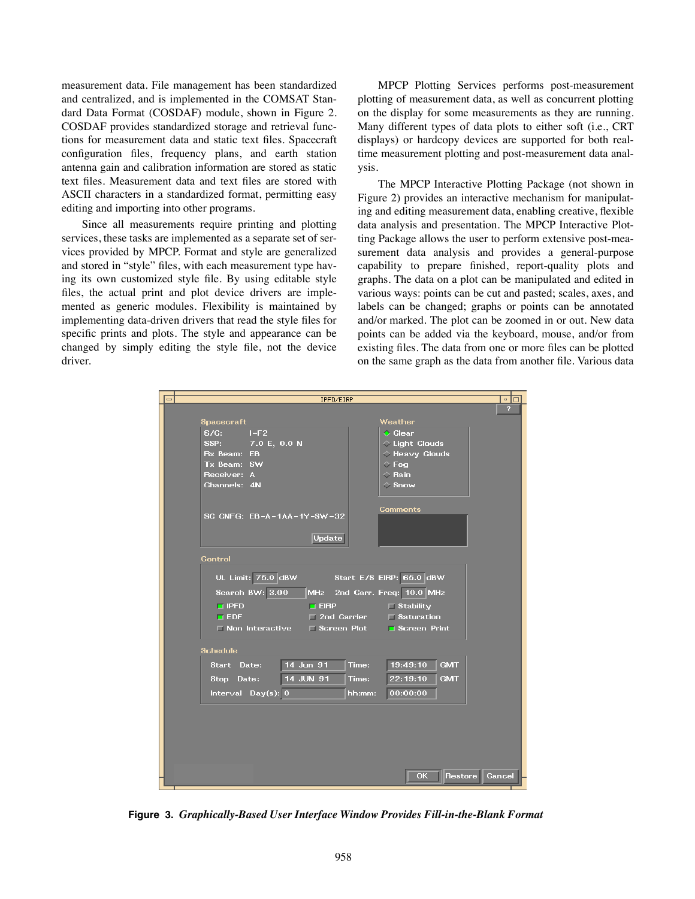measurement data. File management has been standardized and centralized, and is implemented in the COMSAT Standard Data Format (COSDAF) module, shown in Figure 2. COSDAF provides standardized storage and retrieval functions for measurement data and static text files. Spacecraft configuration files, frequency plans, and earth station antenna gain and calibration information are stored as static text files. Measurement data and text files are stored with ASCII characters in a standardized format, permitting easy editing and importing into other programs.

Since all measurements require printing and plotting services, these tasks are implemented as a separate set of services provided by MPCP. Format and style are generalized and stored in "style" files, with each measurement type having its own customized style file. By using editable style files, the actual print and plot device drivers are implemented as generic modules. Flexibility is maintained by implementing data-driven drivers that read the style files for specific prints and plots. The style and appearance can be changed by simply editing the style file, not the device driver.

MPCP Plotting Services performs post-measurement plotting of measurement data, as well as concurrent plotting on the display for some measurements as they are running. Many different types of data plots to either soft (i.e., CRT displays) or hardcopy devices are supported for both realtime measurement plotting and post-measurement data analysis.

The MPCP Interactive Plotting Package (not shown in Figure 2) provides an interactive mechanism for manipulating and editing measurement data, enabling creative, flexible data analysis and presentation. The MPCP Interactive Plotting Package allows the user to perform extensive post-measurement data analysis and provides a general-purpose capability to prepare finished, report-quality plots and graphs. The data on a plot can be manipulated and edited in various ways: points can be cut and pasted; scales, axes, and labels can be changed; graphs or points can be annotated and/or marked. The plot can be zoomed in or out. New data points can be added via the keyboard, mouse, and/or from existing files. The data from one or more files can be plotted on the same graph as the data from another file. Various data



**Figure 3.** *Graphically-Based User Interface Window Provides Fill-in-the-Blank Format*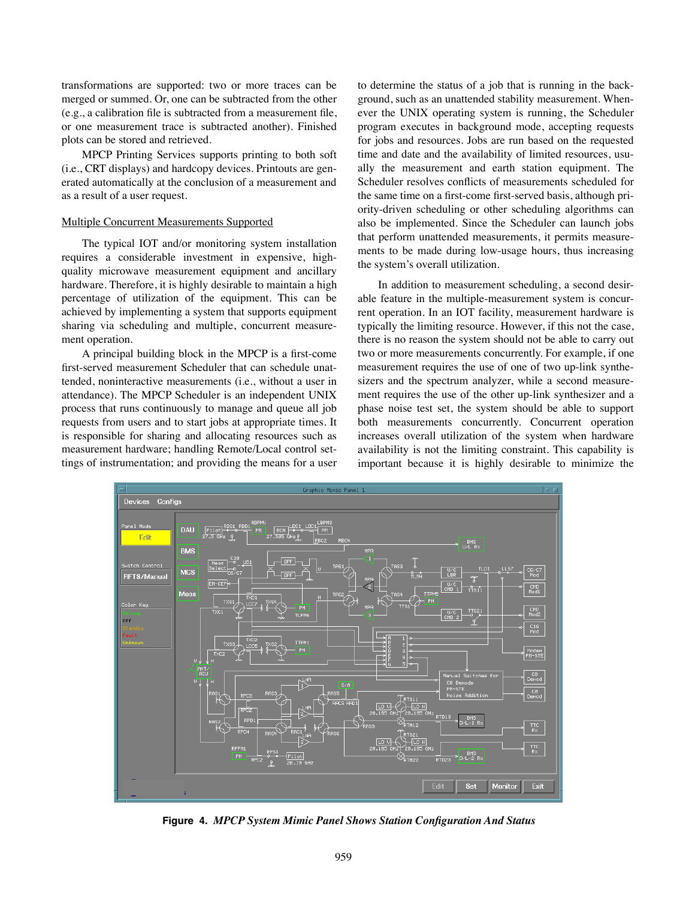transformations are supported: two or more traces can be merged or summed. Or, one can be subtracted from the other (e.g., a calibration file is subtracted from a measurement file, or one measurement trace is subtracted another). Finished plots can be stored and retrieved.

MPCP Printing Services supports printing to both soft (i.e., CRT displays) and hardcopy devices. Printouts are generated automatically at the conclusion of a measurement and as a result of a user request.

#### Multiple Concurrent Measurements Supported

The typical IOT and/or monitoring system installation requires a considerable investment in expensive, highquality microwave measurement equipment and ancillary hardware. Therefore, it is highly desirable to maintain a high percentage of utilization of the equipment. This can be achieved by implementing a system that supports equipment sharing via scheduling and multiple, concurrent measurement operation.

A principal building block in the MPCP is a first-come first-served measurement Scheduler that can schedule unattended, noninteractive measurements (i.e., without a user in attendance). The MPCP Scheduler is an independent UNIX process that runs continuously to manage and queue all job requests from users and to start jobs at appropriate times. It is responsible for sharing and allocating resources such as measurement hardware; handling Remote/Local control settings of instrumentation; and providing the means for a user to determine the status of a job that is running in the background, such as an unattended stability measurement. Whenever the UNIX operating system is running, the Scheduler program executes in background mode, accepting requests for jobs and resources. Jobs are run based on the requested time and date and the availability of limited resources, usually the measurement and earth station equipment. The Scheduler resolves conflicts of measurements scheduled for the same time on a first-come first-served basis, although priority-driven scheduling or other scheduling algorithms can also be implemented. Since the Scheduler can launch jobs that perform unattended measurements, it permits measurements to be made during low-usage hours, thus increasing the system's overall utilization.

In addition to measurement scheduling, a second desirable feature in the multiple-measurement system is concurrent operation. In an IOT facility, measurement hardware is typically the limiting resource. However, if this not the case, there is no reason the system should not be able to carry out two or more measurements concurrently. For example, if one measurement requires the use of one of two up-link synthesizers and the spectrum analyzer, while a second measurement requires the use of the other up-link synthesizer and a phase noise test set, the system should be able to support both measurements concurrently. Concurrent operation increases overall utilization of the system when hardware availability is not the limiting constraint. This capability is important because it is highly desirable to minimize the



**Figure 4.** *MPCP System Mimic Panel Shows Station Configuration And Status*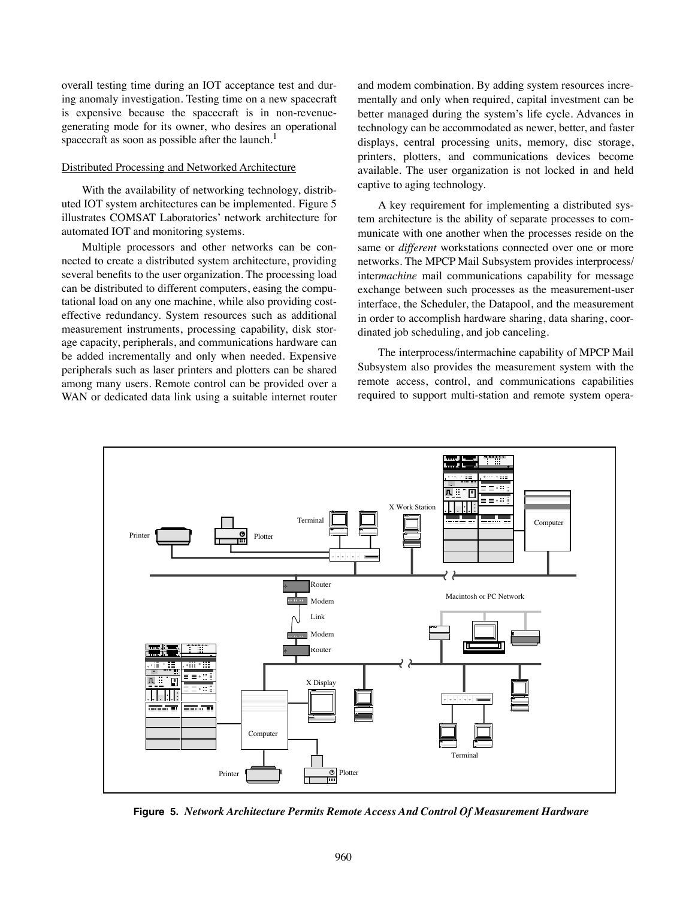overall testing time during an IOT acceptance test and during anomaly investigation. Testing time on a new spacecraft is expensive because the spacecraft is in non-revenuegenerating mode for its owner, who desires an operational spacecraft as soon as possible after the launch.<sup>1</sup>

### Distributed Processing and Networked Architecture

With the availability of networking technology, distributed IOT system architectures can be implemented. Figure 5 illustrates COMSAT Laboratories' network architecture for automated IOT and monitoring systems.

Multiple processors and other networks can be connected to create a distributed system architecture, providing several benefits to the user organization. The processing load can be distributed to different computers, easing the computational load on any one machine, while also providing costeffective redundancy. System resources such as additional measurement instruments, processing capability, disk storage capacity, peripherals, and communications hardware can be added incrementally and only when needed. Expensive peripherals such as laser printers and plotters can be shared among many users. Remote control can be provided over a WAN or dedicated data link using a suitable internet router and modem combination. By adding system resources incrementally and only when required, capital investment can be better managed during the system's life cycle. Advances in technology can be accommodated as newer, better, and faster displays, central processing units, memory, disc storage, printers, plotters, and communications devices become available. The user organization is not locked in and held captive to aging technology.

A key requirement for implementing a distributed system architecture is the ability of separate processes to communicate with one another when the processes reside on the same or *different* workstations connected over one or more networks. The MPCP Mail Subsystem provides interprocess/ inter*machine* mail communications capability for message exchange between such processes as the measurement-user interface, the Scheduler, the Datapool, and the measurement in order to accomplish hardware sharing, data sharing, coordinated job scheduling, and job canceling.

The interprocess/intermachine capability of MPCP Mail Subsystem also provides the measurement system with the remote access, control, and communications capabilities required to support multi-station and remote system opera-



**Figure 5.** *Network Architecture Permits Remote Access And Control Of Measurement Hardware*